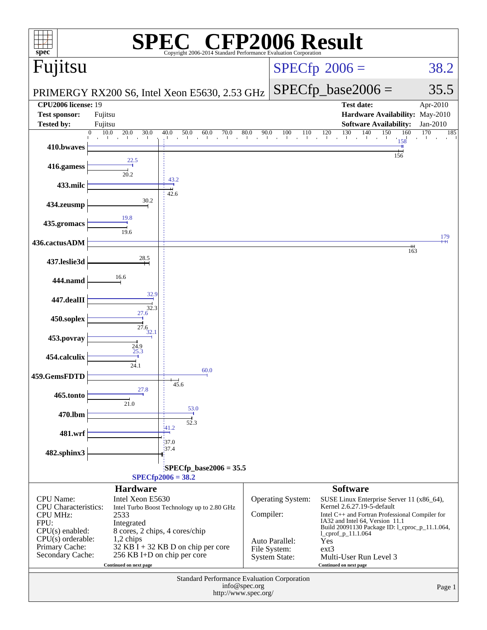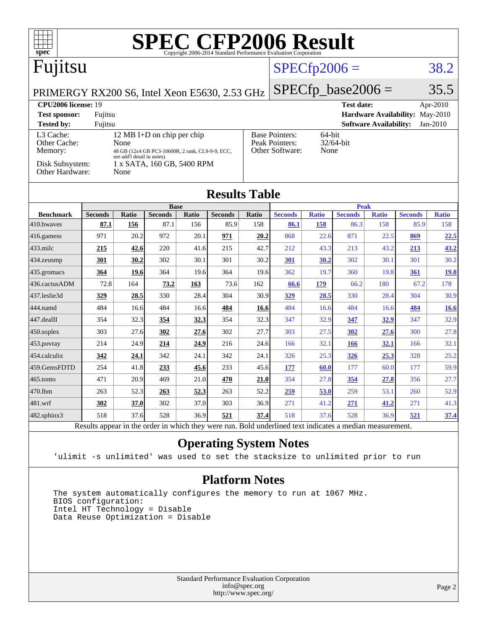| <b>SPEC CFP2006 Result</b><br>spec <sup>®</sup><br>Copyright 2006-2014 Standard Performance Evaluation Corporation             |                |              |                               |       |                        |                                                                                           |                        |              |                                 |                               |                |              |
|--------------------------------------------------------------------------------------------------------------------------------|----------------|--------------|-------------------------------|-------|------------------------|-------------------------------------------------------------------------------------------|------------------------|--------------|---------------------------------|-------------------------------|----------------|--------------|
| Fujitsu                                                                                                                        |                |              |                               |       |                        | $SPECfp2006 =$                                                                            |                        |              | 38.2                            |                               |                |              |
| PRIMERGY RX200 S6, Intel Xeon E5630, 2.53 GHz                                                                                  |                |              |                               |       |                        |                                                                                           | $SPECfp\_base2006 =$   |              |                                 |                               | 35.5           |              |
| CPU2006 license: 19                                                                                                            |                |              |                               |       |                        |                                                                                           |                        |              | <b>Test date:</b>               |                               |                | Apr-2010     |
| <b>Test sponsor:</b><br>Fujitsu                                                                                                |                |              |                               |       |                        |                                                                                           |                        |              | Hardware Availability: May-2010 |                               |                |              |
| <b>Tested by:</b>                                                                                                              | Fujitsu        |              |                               |       |                        |                                                                                           |                        |              |                                 | <b>Software Availability:</b> |                | Jan-2010     |
| 12 MB I+D on chip per chip<br>L3 Cache:<br>Other Cache:<br>None<br>Memory:<br>48 GB (12x4 GB PC3-10600R, 2 rank, CL9-9-9, ECC, |                |              |                               |       |                        | <b>Base Pointers:</b><br>64-bit<br>Peak Pointers:<br>32/64-bit<br>Other Software:<br>None |                        |              |                                 |                               |                |              |
| see add'l detail in notes)<br>Disk Subsystem:<br>1 x SATA, 160 GB, 5400 RPM<br>Other Hardware:<br>None                         |                |              |                               |       |                        |                                                                                           |                        |              |                                 |                               |                |              |
| <b>Results Table</b>                                                                                                           |                |              |                               |       |                        |                                                                                           |                        |              |                                 |                               |                |              |
| <b>Benchmark</b>                                                                                                               | <b>Seconds</b> | <b>Ratio</b> | <b>Base</b><br><b>Seconds</b> | Ratio |                        |                                                                                           |                        | <b>Ratio</b> | <b>Peak</b>                     | <b>Ratio</b>                  | <b>Seconds</b> | <b>Ratio</b> |
| 410.bwaves                                                                                                                     | 87.1           | 156          | 87.1                          | 156   | <b>Seconds</b><br>85.9 | Ratio<br>158                                                                              | <b>Seconds</b><br>86.1 | 158          | <b>Seconds</b><br>86.3          | 158                           | 85.9           | 158          |
| 416.gamess                                                                                                                     | 971            | 20.2         | 972                           | 20.1  | 971                    | 20.2                                                                                      | 868                    | 22.6         | 871                             | 22.5                          | 869            | 22.5         |
| 433.milc                                                                                                                       | 215            | 42.6         | 220                           | 41.6  | 215                    | 42.7                                                                                      | 212                    | 43.3         | 213                             | 43.2                          | 213            | 43.2         |
| 434.zeusmp                                                                                                                     | 301            | 30.2         | 302                           | 30.1  | 301                    | 30.2                                                                                      | 301                    | 30.2         | 302                             | 30.1                          | 301            | 30.2         |
| 435.gromacs                                                                                                                    | 364            | 19.6         | 364                           | 19.6  | 364                    | 19.6                                                                                      | 362                    | 19.7         | 360                             | 19.8                          | 361            | 19.8         |
| 436.cactusADM                                                                                                                  | 72.8           | 164          | 73.2                          | 163   | 73.6                   | 162                                                                                       | 66.6                   | 179          | 66.2                            | 180                           | 67.2           | 178          |
| 437.leslie3d                                                                                                                   | 329            | 28.5         | 330                           | 28.4  | 304                    | 30.9                                                                                      | 329                    | 28.5         | 330                             | 28.4                          | 304            | 30.9         |
| 444.namd                                                                                                                       | 484            | 16.6         | 484                           | 16.6  | 484                    | 16.6                                                                                      | 484                    | 16.6         | 484                             | 16.6                          | 484            | 16.6         |
| 447.dealII                                                                                                                     | 354            | 32.3         | 354                           | 32.3  | 354                    | 32.3                                                                                      | 347                    | 32.9         | 347                             | 32.9                          | 347            | 32.9         |
| $450$ .soplex                                                                                                                  | 303            | 27.6         | 302                           | 27.6  | 302                    | 27.7                                                                                      | 303                    | 27.5         | 302                             | 27.6                          | 300            | 27.8         |
| $ 453$ . povray                                                                                                                | 214            | 24.9         | 214                           | 24.9  | 216                    | 24.6                                                                                      | 166                    | 32.1         | <u>166</u>                      | <u>32.1</u>                   | 166            | 32.1         |
| 454.calculix                                                                                                                   | 342            | 24.1         | 342                           | 24.1  | 342                    | 24.1                                                                                      | 326                    | 25.3         | 326                             | 25.3                          | 328            | 25.2         |
| 459.GemsFDTD                                                                                                                   | 254            | 41.8         | 233                           | 45.6  | 233                    | 45.6                                                                                      | 177                    | 60.0         | 177                             | 60.0                          | 177            | 59.9         |
| 465.tonto                                                                                                                      | 471            | 20.9         | 469                           | 21.0  | 470                    | 21.0                                                                                      | 354                    | 27.8         | 354                             | 27.8                          | 356            | 27.7         |
| 470.1bm                                                                                                                        | 263            | 52.3         | 263                           | 52.3  | 263                    | 52.2                                                                                      | 259                    | 53.0         | 259                             | 53.1                          | 260            | 52.9         |
| 481.wrf                                                                                                                        | 302            | 37.0         | 302                           | 37.0  | 303                    | 36.9                                                                                      | 271                    | 41.2         | 271                             | 41.2                          | 271            | 41.3         |
| 482.sphinx3                                                                                                                    | 518            | 37.6         | 528                           | 36.9  | 521                    | 37.4                                                                                      | 518                    | 37.6         | 528                             | 36.9                          | 521            | 37.4         |
| Results appear in the order in which they were run. Bold underlined text indicates a median measurement.                       |                |              |                               |       |                        |                                                                                           |                        |              |                                 |                               |                |              |

### **[Operating System Notes](http://www.spec.org/auto/cpu2006/Docs/result-fields.html#OperatingSystemNotes)**

'ulimit -s unlimited' was used to set the stacksize to unlimited prior to run

#### **[Platform Notes](http://www.spec.org/auto/cpu2006/Docs/result-fields.html#PlatformNotes)**

 The system automatically configures the memory to run at 1067 MHz. BIOS configuration: Intel HT Technology = Disable Data Reuse Optimization = Disable

> Standard Performance Evaluation Corporation [info@spec.org](mailto:info@spec.org) <http://www.spec.org/>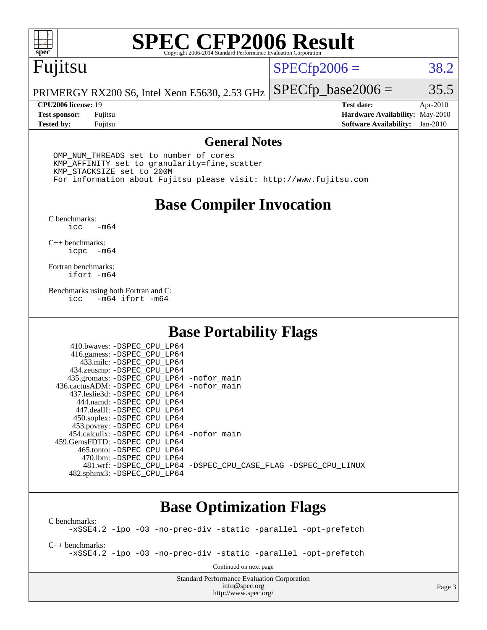

# **[SPEC CFP2006 Result](http://www.spec.org/auto/cpu2006/Docs/result-fields.html#SPECCFP2006Result)**

# Fujitsu

 $SPECfp2006 = 38.2$  $SPECfp2006 = 38.2$ 

PRIMERGY RX200 S6, Intel Xeon E5630, 2.53 GHz  $SPECTp\_base2006 = 35.5$ 

**[CPU2006 license:](http://www.spec.org/auto/cpu2006/Docs/result-fields.html#CPU2006license)** 19 **[Test date:](http://www.spec.org/auto/cpu2006/Docs/result-fields.html#Testdate)** Apr-2010 **[Test sponsor:](http://www.spec.org/auto/cpu2006/Docs/result-fields.html#Testsponsor)** Fujitsu **[Hardware Availability:](http://www.spec.org/auto/cpu2006/Docs/result-fields.html#HardwareAvailability)** May-2010 **[Tested by:](http://www.spec.org/auto/cpu2006/Docs/result-fields.html#Testedby)** Fujitsu **[Software Availability:](http://www.spec.org/auto/cpu2006/Docs/result-fields.html#SoftwareAvailability)** Jan-2010

#### **[General Notes](http://www.spec.org/auto/cpu2006/Docs/result-fields.html#GeneralNotes)**

 OMP\_NUM\_THREADS set to number of cores KMP\_AFFINITY set to granularity=fine,scatter KMP\_STACKSIZE set to 200M For information about Fujitsu please visit: <http://www.fujitsu.com>

## **[Base Compiler Invocation](http://www.spec.org/auto/cpu2006/Docs/result-fields.html#BaseCompilerInvocation)**

 $C$  benchmarks:<br>icc  $-m64$ 

[C++ benchmarks:](http://www.spec.org/auto/cpu2006/Docs/result-fields.html#CXXbenchmarks) [icpc -m64](http://www.spec.org/cpu2006/results/res2010q3/cpu2006-20100706-12243.flags.html#user_CXXbase_intel_icpc_64bit_bedb90c1146cab66620883ef4f41a67e)

[Fortran benchmarks](http://www.spec.org/auto/cpu2006/Docs/result-fields.html#Fortranbenchmarks): [ifort -m64](http://www.spec.org/cpu2006/results/res2010q3/cpu2006-20100706-12243.flags.html#user_FCbase_intel_ifort_64bit_ee9d0fb25645d0210d97eb0527dcc06e)

[Benchmarks using both Fortran and C](http://www.spec.org/auto/cpu2006/Docs/result-fields.html#BenchmarksusingbothFortranandC): [icc -m64](http://www.spec.org/cpu2006/results/res2010q3/cpu2006-20100706-12243.flags.html#user_CC_FCbase_intel_icc_64bit_0b7121f5ab7cfabee23d88897260401c) [ifort -m64](http://www.spec.org/cpu2006/results/res2010q3/cpu2006-20100706-12243.flags.html#user_CC_FCbase_intel_ifort_64bit_ee9d0fb25645d0210d97eb0527dcc06e)

## **[Base Portability Flags](http://www.spec.org/auto/cpu2006/Docs/result-fields.html#BasePortabilityFlags)**

| 435.gromacs: -DSPEC_CPU_LP64 -nofor_main                       |
|----------------------------------------------------------------|
| 436.cactusADM: -DSPEC CPU LP64 -nofor main                     |
|                                                                |
|                                                                |
|                                                                |
|                                                                |
|                                                                |
| 454.calculix: -DSPEC CPU LP64 -nofor main                      |
|                                                                |
|                                                                |
|                                                                |
| 481.wrf: -DSPEC CPU_LP64 -DSPEC_CPU_CASE_FLAG -DSPEC_CPU_LINUX |
|                                                                |
|                                                                |

# **[Base Optimization Flags](http://www.spec.org/auto/cpu2006/Docs/result-fields.html#BaseOptimizationFlags)**

[C benchmarks](http://www.spec.org/auto/cpu2006/Docs/result-fields.html#Cbenchmarks): [-xSSE4.2](http://www.spec.org/cpu2006/results/res2010q3/cpu2006-20100706-12243.flags.html#user_CCbase_f-xSSE42_f91528193cf0b216347adb8b939d4107) [-ipo](http://www.spec.org/cpu2006/results/res2010q3/cpu2006-20100706-12243.flags.html#user_CCbase_f-ipo) [-O3](http://www.spec.org/cpu2006/results/res2010q3/cpu2006-20100706-12243.flags.html#user_CCbase_f-O3) [-no-prec-div](http://www.spec.org/cpu2006/results/res2010q3/cpu2006-20100706-12243.flags.html#user_CCbase_f-no-prec-div) [-static](http://www.spec.org/cpu2006/results/res2010q3/cpu2006-20100706-12243.flags.html#user_CCbase_f-static) [-parallel](http://www.spec.org/cpu2006/results/res2010q3/cpu2006-20100706-12243.flags.html#user_CCbase_f-parallel) [-opt-prefetch](http://www.spec.org/cpu2006/results/res2010q3/cpu2006-20100706-12243.flags.html#user_CCbase_f-opt-prefetch) [C++ benchmarks:](http://www.spec.org/auto/cpu2006/Docs/result-fields.html#CXXbenchmarks) [-xSSE4.2](http://www.spec.org/cpu2006/results/res2010q3/cpu2006-20100706-12243.flags.html#user_CXXbase_f-xSSE42_f91528193cf0b216347adb8b939d4107) [-ipo](http://www.spec.org/cpu2006/results/res2010q3/cpu2006-20100706-12243.flags.html#user_CXXbase_f-ipo) [-O3](http://www.spec.org/cpu2006/results/res2010q3/cpu2006-20100706-12243.flags.html#user_CXXbase_f-O3) [-no-prec-div](http://www.spec.org/cpu2006/results/res2010q3/cpu2006-20100706-12243.flags.html#user_CXXbase_f-no-prec-div) [-static](http://www.spec.org/cpu2006/results/res2010q3/cpu2006-20100706-12243.flags.html#user_CXXbase_f-static) [-parallel](http://www.spec.org/cpu2006/results/res2010q3/cpu2006-20100706-12243.flags.html#user_CXXbase_f-parallel) [-opt-prefetch](http://www.spec.org/cpu2006/results/res2010q3/cpu2006-20100706-12243.flags.html#user_CXXbase_f-opt-prefetch) Continued on next page

> Standard Performance Evaluation Corporation [info@spec.org](mailto:info@spec.org) <http://www.spec.org/>

Page 3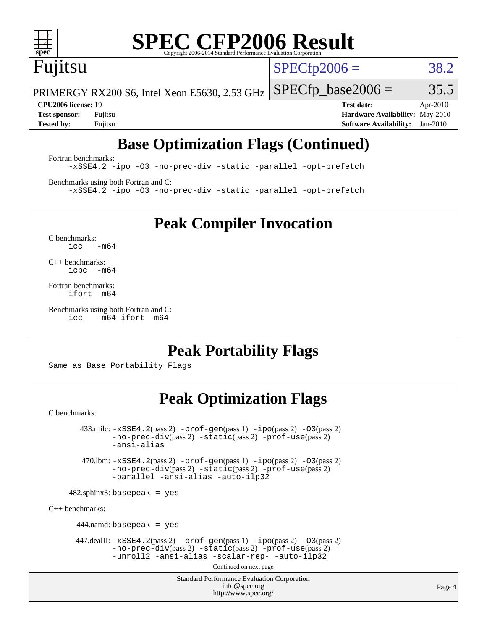

# **[SPEC CFP2006 Result](http://www.spec.org/auto/cpu2006/Docs/result-fields.html#SPECCFP2006Result)**

# Fujitsu

 $SPECTp2006 = 38.2$ 

PRIMERGY RX200 S6, Intel Xeon E5630, 2.53 GHz  $SPECTp\_base2006 = 35.5$ 

**[CPU2006 license:](http://www.spec.org/auto/cpu2006/Docs/result-fields.html#CPU2006license)** 19 **[Test date:](http://www.spec.org/auto/cpu2006/Docs/result-fields.html#Testdate)** Apr-2010 **[Test sponsor:](http://www.spec.org/auto/cpu2006/Docs/result-fields.html#Testsponsor)** Fujitsu **[Hardware Availability:](http://www.spec.org/auto/cpu2006/Docs/result-fields.html#HardwareAvailability)** May-2010 **[Tested by:](http://www.spec.org/auto/cpu2006/Docs/result-fields.html#Testedby)** Fujitsu **[Software Availability:](http://www.spec.org/auto/cpu2006/Docs/result-fields.html#SoftwareAvailability)** Jan-2010

# **[Base Optimization Flags \(Continued\)](http://www.spec.org/auto/cpu2006/Docs/result-fields.html#BaseOptimizationFlags)**

[Fortran benchmarks](http://www.spec.org/auto/cpu2006/Docs/result-fields.html#Fortranbenchmarks): [-xSSE4.2](http://www.spec.org/cpu2006/results/res2010q3/cpu2006-20100706-12243.flags.html#user_FCbase_f-xSSE42_f91528193cf0b216347adb8b939d4107) [-ipo](http://www.spec.org/cpu2006/results/res2010q3/cpu2006-20100706-12243.flags.html#user_FCbase_f-ipo) [-O3](http://www.spec.org/cpu2006/results/res2010q3/cpu2006-20100706-12243.flags.html#user_FCbase_f-O3) [-no-prec-div](http://www.spec.org/cpu2006/results/res2010q3/cpu2006-20100706-12243.flags.html#user_FCbase_f-no-prec-div) [-static](http://www.spec.org/cpu2006/results/res2010q3/cpu2006-20100706-12243.flags.html#user_FCbase_f-static) [-parallel](http://www.spec.org/cpu2006/results/res2010q3/cpu2006-20100706-12243.flags.html#user_FCbase_f-parallel) [-opt-prefetch](http://www.spec.org/cpu2006/results/res2010q3/cpu2006-20100706-12243.flags.html#user_FCbase_f-opt-prefetch)

[Benchmarks using both Fortran and C](http://www.spec.org/auto/cpu2006/Docs/result-fields.html#BenchmarksusingbothFortranandC): [-xSSE4.2](http://www.spec.org/cpu2006/results/res2010q3/cpu2006-20100706-12243.flags.html#user_CC_FCbase_f-xSSE42_f91528193cf0b216347adb8b939d4107) [-ipo](http://www.spec.org/cpu2006/results/res2010q3/cpu2006-20100706-12243.flags.html#user_CC_FCbase_f-ipo) [-O3](http://www.spec.org/cpu2006/results/res2010q3/cpu2006-20100706-12243.flags.html#user_CC_FCbase_f-O3) [-no-prec-div](http://www.spec.org/cpu2006/results/res2010q3/cpu2006-20100706-12243.flags.html#user_CC_FCbase_f-no-prec-div) [-static](http://www.spec.org/cpu2006/results/res2010q3/cpu2006-20100706-12243.flags.html#user_CC_FCbase_f-static) [-parallel](http://www.spec.org/cpu2006/results/res2010q3/cpu2006-20100706-12243.flags.html#user_CC_FCbase_f-parallel) [-opt-prefetch](http://www.spec.org/cpu2006/results/res2010q3/cpu2006-20100706-12243.flags.html#user_CC_FCbase_f-opt-prefetch)

**[Peak Compiler Invocation](http://www.spec.org/auto/cpu2006/Docs/result-fields.html#PeakCompilerInvocation)**

[C benchmarks](http://www.spec.org/auto/cpu2006/Docs/result-fields.html#Cbenchmarks):  $icc$   $-m64$ 

[C++ benchmarks:](http://www.spec.org/auto/cpu2006/Docs/result-fields.html#CXXbenchmarks) [icpc -m64](http://www.spec.org/cpu2006/results/res2010q3/cpu2006-20100706-12243.flags.html#user_CXXpeak_intel_icpc_64bit_bedb90c1146cab66620883ef4f41a67e)

[Fortran benchmarks](http://www.spec.org/auto/cpu2006/Docs/result-fields.html#Fortranbenchmarks): [ifort -m64](http://www.spec.org/cpu2006/results/res2010q3/cpu2006-20100706-12243.flags.html#user_FCpeak_intel_ifort_64bit_ee9d0fb25645d0210d97eb0527dcc06e)

[Benchmarks using both Fortran and C](http://www.spec.org/auto/cpu2006/Docs/result-fields.html#BenchmarksusingbothFortranandC): [icc -m64](http://www.spec.org/cpu2006/results/res2010q3/cpu2006-20100706-12243.flags.html#user_CC_FCpeak_intel_icc_64bit_0b7121f5ab7cfabee23d88897260401c) [ifort -m64](http://www.spec.org/cpu2006/results/res2010q3/cpu2006-20100706-12243.flags.html#user_CC_FCpeak_intel_ifort_64bit_ee9d0fb25645d0210d97eb0527dcc06e)

# **[Peak Portability Flags](http://www.spec.org/auto/cpu2006/Docs/result-fields.html#PeakPortabilityFlags)**

Same as Base Portability Flags

# **[Peak Optimization Flags](http://www.spec.org/auto/cpu2006/Docs/result-fields.html#PeakOptimizationFlags)**

[C benchmarks](http://www.spec.org/auto/cpu2006/Docs/result-fields.html#Cbenchmarks):

 $433 \text{.}$ milc:  $-xSSE4$ .  $2(pass 2)$  - $prof-gen(pass 1)$  - $ipo(pass 2)$  [-O3](http://www.spec.org/cpu2006/results/res2010q3/cpu2006-20100706-12243.flags.html#user_peakPASS2_CFLAGSPASS2_LDFLAGS433_milc_f-O3) $(pass 2)$ [-no-prec-div](http://www.spec.org/cpu2006/results/res2010q3/cpu2006-20100706-12243.flags.html#user_peakPASS2_CFLAGSPASS2_LDFLAGS433_milc_f-no-prec-div)(pass 2) [-static](http://www.spec.org/cpu2006/results/res2010q3/cpu2006-20100706-12243.flags.html#user_peakPASS2_CFLAGSPASS2_LDFLAGS433_milc_f-static)(pass 2) [-prof-use](http://www.spec.org/cpu2006/results/res2010q3/cpu2006-20100706-12243.flags.html#user_peakPASS2_CFLAGSPASS2_LDFLAGS433_milc_prof_use_bccf7792157ff70d64e32fe3e1250b55)(pass 2) [-ansi-alias](http://www.spec.org/cpu2006/results/res2010q3/cpu2006-20100706-12243.flags.html#user_peakOPTIMIZE433_milc_f-ansi-alias) 470.lbm: [-xSSE4.2](http://www.spec.org/cpu2006/results/res2010q3/cpu2006-20100706-12243.flags.html#user_peakPASS2_CFLAGSPASS2_LDFLAGS470_lbm_f-xSSE42_f91528193cf0b216347adb8b939d4107)(pass 2) [-prof-gen](http://www.spec.org/cpu2006/results/res2010q3/cpu2006-20100706-12243.flags.html#user_peakPASS1_CFLAGSPASS1_LDFLAGS470_lbm_prof_gen_e43856698f6ca7b7e442dfd80e94a8fc)(pass 1) [-ipo](http://www.spec.org/cpu2006/results/res2010q3/cpu2006-20100706-12243.flags.html#user_peakPASS2_CFLAGSPASS2_LDFLAGS470_lbm_f-ipo)(pass 2) [-O3](http://www.spec.org/cpu2006/results/res2010q3/cpu2006-20100706-12243.flags.html#user_peakPASS2_CFLAGSPASS2_LDFLAGS470_lbm_f-O3)(pass 2) [-no-prec-div](http://www.spec.org/cpu2006/results/res2010q3/cpu2006-20100706-12243.flags.html#user_peakPASS2_CFLAGSPASS2_LDFLAGS470_lbm_f-no-prec-div)(pass 2) [-static](http://www.spec.org/cpu2006/results/res2010q3/cpu2006-20100706-12243.flags.html#user_peakPASS2_CFLAGSPASS2_LDFLAGS470_lbm_f-static)(pass 2) [-prof-use](http://www.spec.org/cpu2006/results/res2010q3/cpu2006-20100706-12243.flags.html#user_peakPASS2_CFLAGSPASS2_LDFLAGS470_lbm_prof_use_bccf7792157ff70d64e32fe3e1250b55)(pass 2) [-parallel](http://www.spec.org/cpu2006/results/res2010q3/cpu2006-20100706-12243.flags.html#user_peakOPTIMIZE470_lbm_f-parallel) [-ansi-alias](http://www.spec.org/cpu2006/results/res2010q3/cpu2006-20100706-12243.flags.html#user_peakOPTIMIZE470_lbm_f-ansi-alias) [-auto-ilp32](http://www.spec.org/cpu2006/results/res2010q3/cpu2006-20100706-12243.flags.html#user_peakCOPTIMIZE470_lbm_f-auto-ilp32)  $482$ .sphinx3: basepeak = yes [C++ benchmarks:](http://www.spec.org/auto/cpu2006/Docs/result-fields.html#CXXbenchmarks) 444.namd: basepeak = yes 447.dealII: [-xSSE4.2](http://www.spec.org/cpu2006/results/res2010q3/cpu2006-20100706-12243.flags.html#user_peakPASS2_CXXFLAGSPASS2_LDFLAGS447_dealII_f-xSSE42_f91528193cf0b216347adb8b939d4107)(pass 2) [-prof-gen](http://www.spec.org/cpu2006/results/res2010q3/cpu2006-20100706-12243.flags.html#user_peakPASS1_CXXFLAGSPASS1_LDFLAGS447_dealII_prof_gen_e43856698f6ca7b7e442dfd80e94a8fc)(pass 1) [-ipo](http://www.spec.org/cpu2006/results/res2010q3/cpu2006-20100706-12243.flags.html#user_peakPASS2_CXXFLAGSPASS2_LDFLAGS447_dealII_f-ipo)(pass 2) [-O3](http://www.spec.org/cpu2006/results/res2010q3/cpu2006-20100706-12243.flags.html#user_peakPASS2_CXXFLAGSPASS2_LDFLAGS447_dealII_f-O3)(pass 2) [-no-prec-div](http://www.spec.org/cpu2006/results/res2010q3/cpu2006-20100706-12243.flags.html#user_peakPASS2_CXXFLAGSPASS2_LDFLAGS447_dealII_f-no-prec-div)(pass 2) [-static](http://www.spec.org/cpu2006/results/res2010q3/cpu2006-20100706-12243.flags.html#user_peakPASS2_CXXFLAGSPASS2_LDFLAGS447_dealII_f-static)(pass 2) [-prof-use](http://www.spec.org/cpu2006/results/res2010q3/cpu2006-20100706-12243.flags.html#user_peakPASS2_CXXFLAGSPASS2_LDFLAGS447_dealII_prof_use_bccf7792157ff70d64e32fe3e1250b55)(pass 2) [-unroll2](http://www.spec.org/cpu2006/results/res2010q3/cpu2006-20100706-12243.flags.html#user_peakOPTIMIZE447_dealII_f-unroll_784dae83bebfb236979b41d2422d7ec2) [-ansi-alias](http://www.spec.org/cpu2006/results/res2010q3/cpu2006-20100706-12243.flags.html#user_peakOPTIMIZE447_dealII_f-ansi-alias) [-scalar-rep-](http://www.spec.org/cpu2006/results/res2010q3/cpu2006-20100706-12243.flags.html#user_peakOPTIMIZE447_dealII_f-disablescalarrep_abbcad04450fb118e4809c81d83c8a1d) [-auto-ilp32](http://www.spec.org/cpu2006/results/res2010q3/cpu2006-20100706-12243.flags.html#user_peakCXXOPTIMIZE447_dealII_f-auto-ilp32)

Continued on next page

Standard Performance Evaluation Corporation [info@spec.org](mailto:info@spec.org) <http://www.spec.org/>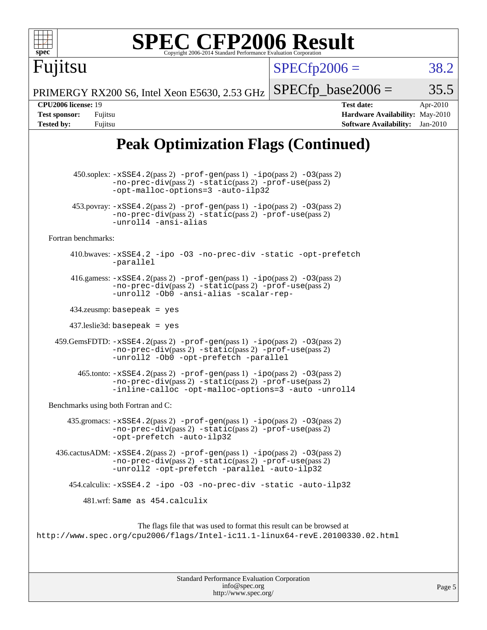| <b>SPEC CFP2006 Result</b><br>spec <sup>®</sup><br>Copyright 2006-2014 Standard Performance Evaluation Corporatio                                                                                                                      |                                                                                                                 |  |  |  |  |  |
|----------------------------------------------------------------------------------------------------------------------------------------------------------------------------------------------------------------------------------------|-----------------------------------------------------------------------------------------------------------------|--|--|--|--|--|
| Fujitsu                                                                                                                                                                                                                                | $SPECfp2006 =$<br>38.2                                                                                          |  |  |  |  |  |
| PRIMERGY RX200 S6, Intel Xeon E5630, 2.53 GHz                                                                                                                                                                                          | $SPECfp\_base2006 =$<br>35.5                                                                                    |  |  |  |  |  |
| <b>CPU2006 license: 19</b><br><b>Test sponsor:</b><br>Fujitsu<br><b>Tested by:</b><br>Fujitsu                                                                                                                                          | <b>Test date:</b><br>Apr-2010<br>Hardware Availability: May-2010<br><b>Software Availability:</b><br>$Jan-2010$ |  |  |  |  |  |
| <b>Peak Optimization Flags (Continued)</b>                                                                                                                                                                                             |                                                                                                                 |  |  |  |  |  |
| $450.\text{soplex: } -x\text{SSE4}.2(\text{pass 2}) - \text{prof-gen}(\text{pass 1}) - \text{ipo}(\text{pass 2}) - 03(\text{pass 2})$<br>$-no-prec-div(pass 2) -static(pass 2) -prof-use(pass 2)$<br>-opt-malloc-options=3 -auto-ilp32 |                                                                                                                 |  |  |  |  |  |
| $453.$ povray: $-xSSE4.2(pass2)$ -prof-gen $(pass1)$ -ipo $(pass2)$ -03 $(pass2)$<br>-no-prec-div(pass 2) -static(pass 2) -prof-use(pass 2)<br>-unroll4 -ansi-alias                                                                    |                                                                                                                 |  |  |  |  |  |
| Fortran benchmarks:                                                                                                                                                                                                                    |                                                                                                                 |  |  |  |  |  |
| 410.bwaves: -xSSE4.2 -ipo -03 -no-prec-div -static -opt-prefetch<br>-parallel                                                                                                                                                          |                                                                                                                 |  |  |  |  |  |
| 416.gamess: $-xSSE4$ . 2(pass 2) $-prof-gen(pass 1) -ipo(pass 2) -O3(pass 2)$<br>-no-prec-div(pass 2) -static(pass 2) -prof-use(pass 2)<br>-unroll2 -Ob0 -ansi-alias -scalar-rep-                                                      |                                                                                                                 |  |  |  |  |  |
| $434$ .zeusmp: basepeak = yes                                                                                                                                                                                                          |                                                                                                                 |  |  |  |  |  |
| $437$ .leslie3d: basepeak = yes                                                                                                                                                                                                        |                                                                                                                 |  |  |  |  |  |
| 459.GemsFDTD: -xSSE4.2(pass 2) -prof-gen(pass 1) -ipo(pass 2) -03(pass 2)<br>-no-prec-div(pass 2) -static(pass 2) -prof-use(pass 2)<br>-unroll2 -Ob0 -opt-prefetch -parallel                                                           |                                                                                                                 |  |  |  |  |  |
| 465.tonto: -xSSE4.2(pass 2) -prof-gen(pass 1) -ipo(pass 2) -03(pass 2)<br>-no-prec-div(pass 2) -static(pass 2) -prof-use(pass 2)<br>-inline-calloc -opt-malloc-options=3 -auto -unroll4                                                |                                                                                                                 |  |  |  |  |  |
| Benchmarks using both Fortran and C:                                                                                                                                                                                                   |                                                                                                                 |  |  |  |  |  |
| 435.gromacs: $-xSSE4$ . 2(pass 2) $-prof$ -gen(pass 1) $-ipo$ (pass 2) $-O3$ (pass 2)<br>-no-prec-div(pass 2) -static(pass 2) -prof-use(pass 2)<br>-opt-prefetch -auto-ilp32                                                           |                                                                                                                 |  |  |  |  |  |
| $436.cactusADM: -xSSE4.2(pass 2) -prof-gen(pass 1) -ipo(pass 2) -03(pass 2)$<br>-no-prec-div(pass 2) -static(pass 2) -prof-use(pass 2)<br>-unroll2 -opt-prefetch -parallel -auto-ilp32                                                 |                                                                                                                 |  |  |  |  |  |
| 454.calculix: -xSSE4.2 -ipo -03 -no-prec-div -static -auto-ilp32                                                                                                                                                                       |                                                                                                                 |  |  |  |  |  |
| 481.wrf: Same as 454.calculix                                                                                                                                                                                                          |                                                                                                                 |  |  |  |  |  |
| The flags file that was used to format this result can be browsed at<br>http://www.spec.org/cpu2006/flags/Intel-ic11.1-linux64-revE.20100330.02.html                                                                                   |                                                                                                                 |  |  |  |  |  |